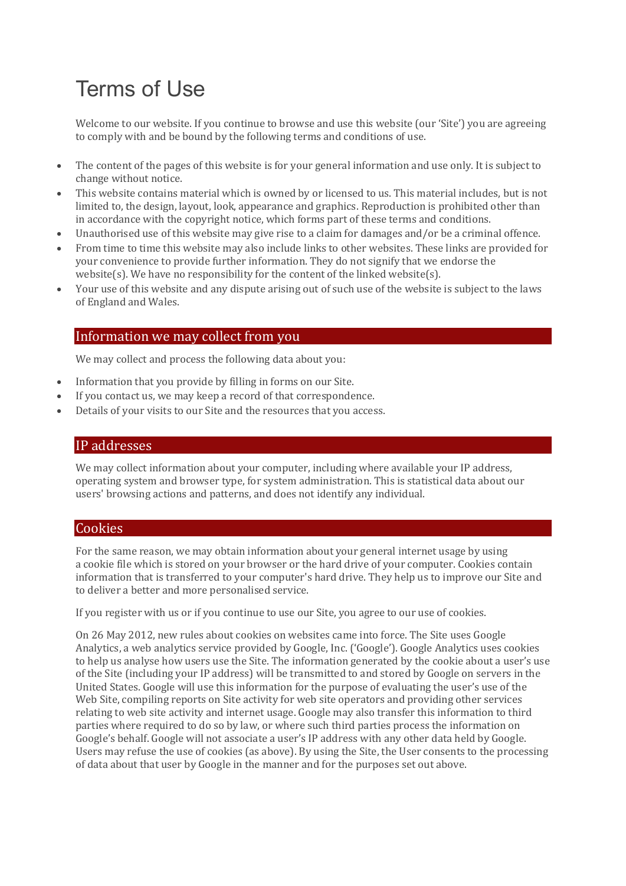# Terms of Use

Welcome to our website. If you continue to browse and use this website (our 'Site') you are agreeing to comply with and be bound by the following terms and conditions of use.

- The content of the pages of this website is for your general information and use only. It is subject to change without notice.
- This website contains material which is owned by or licensed to us. This material includes, but is not limited to, the design, layout, look, appearance and graphics. Reproduction is prohibited other than in accordance with the copyright notice, which forms part of these terms and conditions.
- Unauthorised use of this website may give rise to a claim for damages and/or be a criminal offence.
- From time to time this website may also include links to other websites. These links are provided for your convenience to provide further information. They do not signify that we endorse the website(s). We have no responsibility for the content of the linked website(s).
- Your use of this website and any dispute arising out of such use of the website is subject to the laws of England and Wales.

### Information we may collect from you

We may collect and process the following data about you:

- Information that you provide by filling in forms on our Site.
- If you contact us, we may keep a record of that correspondence.
- Details of your visits to our Site and the resources that you access.

#### IP addresses

We may collect information about your computer, including where available your IP address, operating system and browser type, for system administration. This is statistical data about our users' browsing actions and patterns, and does not identify any individual.

#### **Cookies**

For the same reason, we may obtain information about your general internet usage by using a cookie file which is stored on your browser or the hard drive of your computer. Cookies contain information that is transferred to your computer's hard drive. They help us to improve our Site and to deliver a better and more personalised service.

If you register with us or if you continue to use our Site, you agree to our use of cookies.

On 26 May 2012, new rules about cookies on websites came into force. The Site uses Google Analytics, a web analytics service provided by Google, Inc. ('Google'). Google Analytics uses cookies to help us analyse how users use the Site. The information generated by the cookie about a user's use of the Site (including your IP address) will be transmitted to and stored by Google on servers in the United States. Google will use this information for the purpose of evaluating the user's use of the Web Site, compiling reports on Site activity for web site operators and providing other services relating to web site activity and internet usage. Google may also transfer this information to third parties where required to do so by law, or where such third parties process the information on Google's behalf. Google will not associate a user's IP address with any other data held by Google. Users may refuse the use of cookies (as above). By using the Site, the User consents to the processing of data about that user by Google in the manner and for the purposes set out above.